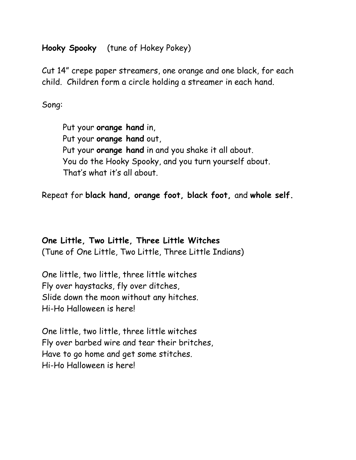## **Hooky Spooky** (tune of Hokey Pokey)

Cut 14" crepe paper streamers, one orange and one black, for each child. Children form a circle holding a streamer in each hand.

## Song:

Put your **orange hand** in, Put your **orange hand** out, Put your **orange hand** in and you shake it all about. You do the Hooky Spooky, and you turn yourself about. That's what it's all about.

Repeat for **black hand, orange foot, black foot,** and **whole self.**

## **One Little, Two Little, Three Little Witches**

(Tune of One Little, Two Little, Three Little Indians)

One little, two little, three little witches Fly over haystacks, fly over ditches, Slide down the moon without any hitches. Hi-Ho Halloween is here!

One little, two little, three little witches Fly over barbed wire and tear their britches, Have to go home and get some stitches. Hi-Ho Halloween is here!